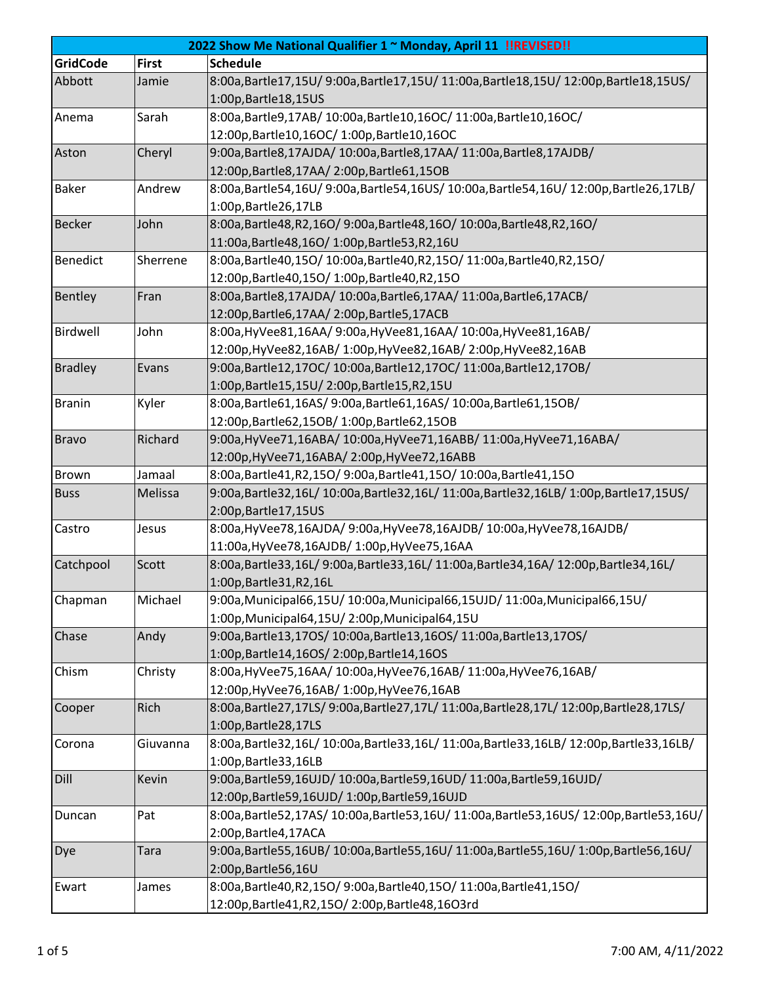| 2022 Show Me National Qualifier 1 ~ Monday, April 11 !!REVISED!! |              |                                                                                   |  |  |
|------------------------------------------------------------------|--------------|-----------------------------------------------------------------------------------|--|--|
| <b>GridCode</b>                                                  | <b>First</b> | <b>Schedule</b>                                                                   |  |  |
| Abbott                                                           | Jamie        | 8:00a,Bartle17,15U/9:00a,Bartle17,15U/11:00a,Bartle18,15U/12:00p,Bartle18,15US/   |  |  |
|                                                                  |              | 1:00p, Bartle 18, 15US                                                            |  |  |
| Anema                                                            | Sarah        | 8:00a, Bartle9, 17AB/ 10:00a, Bartle10, 16OC/ 11:00a, Bartle10, 16OC/             |  |  |
|                                                                  |              | 12:00p, Bartle10, 16OC/ 1:00p, Bartle10, 16OC                                     |  |  |
| Aston                                                            | Cheryl       | 9:00a, Bartle8, 17AJDA/ 10:00a, Bartle8, 17AA/ 11:00a, Bartle8, 17AJDB/           |  |  |
|                                                                  |              | 12:00p, Bartle 8, 17AA/2:00p, Bartle 61, 15OB                                     |  |  |
| <b>Baker</b>                                                     | Andrew       | 8:00a,Bartle54,16U/9:00a,Bartle54,16US/10:00a,Bartle54,16U/12:00p,Bartle26,17LB/  |  |  |
|                                                                  |              | 1:00p, Bartle 26, 17LB                                                            |  |  |
| <b>Becker</b>                                                    | John         | 8:00a, Bartle48, R2, 16O/ 9:00a, Bartle48, 16O/ 10:00a, Bartle48, R2, 16O/        |  |  |
|                                                                  |              | 11:00a, Bartle48, 16O/ 1:00p, Bartle53, R2, 16U                                   |  |  |
| <b>Benedict</b>                                                  | Sherrene     | 8:00a, Bartle40, 15O/10:00a, Bartle40, R2, 15O/11:00a, Bartle40, R2, 15O/         |  |  |
|                                                                  |              | 12:00p, Bartle40, 150/1:00p, Bartle40, R2, 150                                    |  |  |
| Bentley                                                          | Fran         | 8:00a, Bartle8, 17AJDA/ 10:00a, Bartle6, 17AA/ 11:00a, Bartle6, 17ACB/            |  |  |
|                                                                  |              | 12:00p,Bartle6,17AA/2:00p,Bartle5,17ACB                                           |  |  |
| Birdwell                                                         | John         | 8:00a, HyVee81, 16AA/ 9:00a, HyVee81, 16AA/ 10:00a, HyVee81, 16AB/                |  |  |
|                                                                  |              | 12:00p, HyVee82, 16AB/ 1:00p, HyVee82, 16AB/ 2:00p, HyVee82, 16AB                 |  |  |
| <b>Bradley</b>                                                   | Evans        | 9:00a, Bartle12, 17OC/10:00a, Bartle12, 17OC/11:00a, Bartle12, 17OB/              |  |  |
|                                                                  |              | 1:00p,Bartle15,15U/2:00p,Bartle15,R2,15U                                          |  |  |
| <b>Branin</b>                                                    | Kyler        | 8:00a, Bartle61, 16AS/ 9:00a, Bartle61, 16AS/ 10:00a, Bartle61, 15OB/             |  |  |
|                                                                  |              | 12:00p, Bartle62, 15OB/1:00p, Bartle62, 15OB                                      |  |  |
| <b>Bravo</b>                                                     | Richard      | 9:00a, HyVee71, 16ABA/ 10:00a, HyVee71, 16ABB/ 11:00a, HyVee71, 16ABA/            |  |  |
|                                                                  |              | 12:00p, HyVee 71, 16ABA/ 2:00p, HyVee 72, 16ABB                                   |  |  |
| <b>Brown</b>                                                     | Jamaal       | 8:00a, Bartle41, R2, 15O / 9:00a, Bartle41, 15O / 10:00a, Bartle41, 15O           |  |  |
| <b>Buss</b>                                                      | Melissa      | 9:00a,Bartle32,16L/10:00a,Bartle32,16L/11:00a,Bartle32,16LB/1:00p,Bartle17,15US/  |  |  |
|                                                                  |              | 2:00p, Bartle 17, 15US                                                            |  |  |
| Castro                                                           | Jesus        | 8:00a, HyVee78, 16AJDA/ 9:00a, HyVee78, 16AJDB/ 10:00a, HyVee78, 16AJDB/          |  |  |
|                                                                  |              | 11:00a, HyVee78, 16AJDB/ 1:00p, HyVee75, 16AA                                     |  |  |
| Catchpool                                                        | Scott        | 8:00a,Bartle33,16L/9:00a,Bartle33,16L/11:00a,Bartle34,16A/12:00p,Bartle34,16L/    |  |  |
|                                                                  |              | 1:00p, Bartle 31, R2, 16L                                                         |  |  |
| Chapman                                                          | Michael      | 9:00a, Municipal66, 15U/10:00a, Municipal66, 15UJD/11:00a, Municipal66, 15U/      |  |  |
|                                                                  |              | 1:00p, Municipal64, 15U/2:00p, Municipal64, 15U                                   |  |  |
| Chase                                                            | Andy         | 9:00a, Bartle13, 170S/10:00a, Bartle13, 160S/11:00a, Bartle13, 170S/              |  |  |
|                                                                  |              | 1:00p,Bartle14,16OS/2:00p,Bartle14,16OS                                           |  |  |
| Chism                                                            | Christy      | 8:00a, HyVee75, 16AA/ 10:00a, HyVee76, 16AB/ 11:00a, HyVee76, 16AB/               |  |  |
|                                                                  |              | 12:00p, HyVee 76, 16AB/ 1:00p, HyVee 76, 16AB                                     |  |  |
| Cooper                                                           | Rich         | 8:00a,Bartle27,17LS/9:00a,Bartle27,17L/11:00a,Bartle28,17L/12:00p,Bartle28,17LS/  |  |  |
|                                                                  |              | 1:00p, Bartle 28, 17LS                                                            |  |  |
| Corona                                                           | Giuvanna     | 8:00a,Bartle32,16L/10:00a,Bartle33,16L/11:00a,Bartle33,16LB/12:00p,Bartle33,16LB/ |  |  |
|                                                                  |              | 1:00p, Bartle 33, 16LB                                                            |  |  |
| Dill                                                             | Kevin        | 9:00a, Bartle59, 16UJD/ 10:00a, Bartle59, 16UD/ 11:00a, Bartle59, 16UJD/          |  |  |
|                                                                  |              | 12:00p,Bartle59,16UJD/1:00p,Bartle59,16UJD                                        |  |  |
| Duncan                                                           | Pat          | 8:00a,Bartle52,17AS/10:00a,Bartle53,16U/11:00a,Bartle53,16US/12:00p,Bartle53,16U/ |  |  |
|                                                                  |              | 2:00p, Bartle 4, 17ACA                                                            |  |  |
| Dye                                                              | Tara         | 9:00a,Bartle55,16UB/10:00a,Bartle55,16U/11:00a,Bartle55,16U/1:00p,Bartle56,16U/   |  |  |
|                                                                  |              | 2:00p, Bartle 56, 16U                                                             |  |  |
| Ewart                                                            | James        | 8:00a, Bartle40, R2, 15O/ 9:00a, Bartle40, 15O/ 11:00a, Bartle41, 15O/            |  |  |
|                                                                  |              | 12:00p,Bartle41,R2,15O/2:00p,Bartle48,16O3rd                                      |  |  |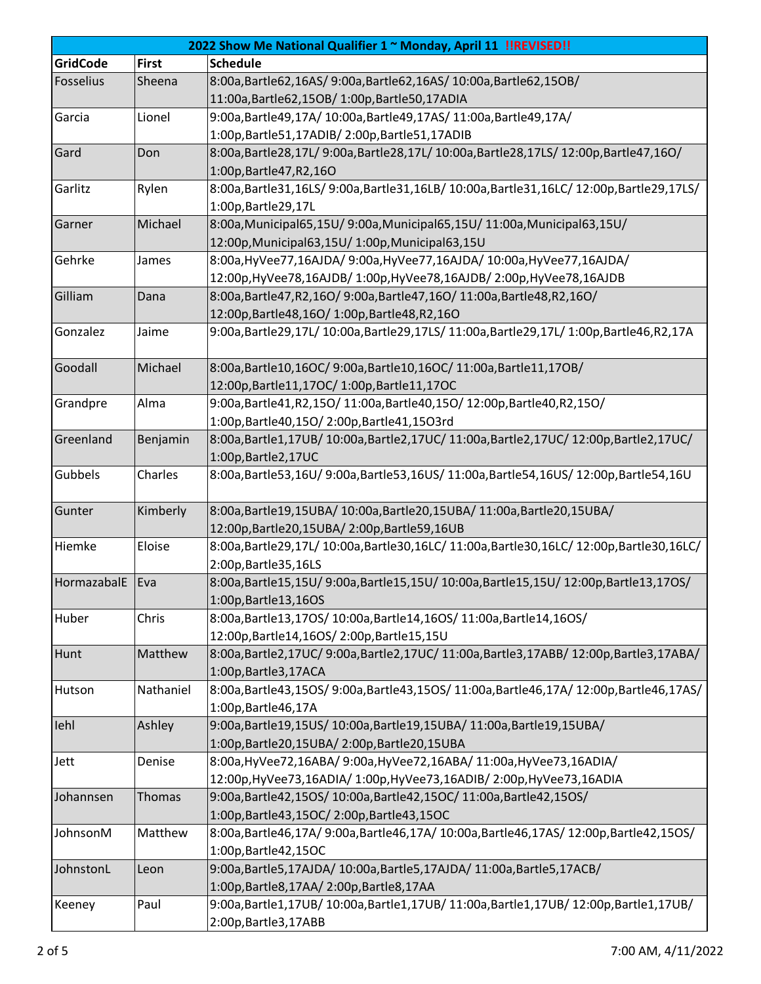| 2022 Show Me National Qualifier 1 ~ Monday, April 11 !!REVISED!! |               |                                                                                    |  |  |
|------------------------------------------------------------------|---------------|------------------------------------------------------------------------------------|--|--|
| <b>GridCode</b>                                                  | <b>First</b>  | <b>Schedule</b>                                                                    |  |  |
| Fosselius                                                        | Sheena        | 8:00a, Bartle62, 16AS/ 9:00a, Bartle62, 16AS/ 10:00a, Bartle62, 15OB/              |  |  |
|                                                                  |               | 11:00a, Bartle62, 15OB/1:00p, Bartle50, 17ADIA                                     |  |  |
| Garcia                                                           | Lionel        | 9:00a, Bartle49, 17A/ 10:00a, Bartle49, 17AS/ 11:00a, Bartle49, 17A/               |  |  |
|                                                                  |               | 1:00p,Bartle51,17ADIB/2:00p,Bartle51,17ADIB                                        |  |  |
| Gard                                                             | Don           | 8:00a,Bartle28,17L/9:00a,Bartle28,17L/10:00a,Bartle28,17LS/12:00p,Bartle47,16O/    |  |  |
|                                                                  |               | 1:00p, Bartle 47, R2, 160                                                          |  |  |
| Garlitz                                                          | Rylen         | 8:00a,Bartle31,16LS/9:00a,Bartle31,16LB/10:00a,Bartle31,16LC/12:00p,Bartle29,17LS/ |  |  |
|                                                                  |               | 1:00p, Bartle 29, 17L                                                              |  |  |
| Garner                                                           | Michael       | 8:00a, Municipal65, 15U/ 9:00a, Municipal65, 15U/ 11:00a, Municipal63, 15U/        |  |  |
|                                                                  |               | 12:00p, Municipal63, 15U/ 1:00p, Municipal63, 15U                                  |  |  |
| Gehrke                                                           | James         | 8:00a, HyVee77, 16AJDA/ 9:00a, HyVee77, 16AJDA/ 10:00a, HyVee77, 16AJDA/           |  |  |
|                                                                  |               | 12:00p, HyVee78, 16AJDB/ 1:00p, HyVee78, 16AJDB/ 2:00p, HyVee78, 16AJDB            |  |  |
| Gilliam                                                          | Dana          | 8:00a, Bartle47, R2, 16O/ 9:00a, Bartle47, 16O/ 11:00a, Bartle48, R2, 16O/         |  |  |
|                                                                  |               | 12:00p, Bartle 48, 160/1:00p, Bartle 48, R2, 160                                   |  |  |
| Gonzalez                                                         | Jaime         | 9:00a,Bartle29,17L/10:00a,Bartle29,17LS/11:00a,Bartle29,17L/1:00p,Bartle46,R2,17A  |  |  |
| Goodall                                                          | Michael       | 8:00a, Bartle10, 16OC/ 9:00a, Bartle10, 16OC/ 11:00a, Bartle11, 17OB/              |  |  |
|                                                                  |               | 12:00p, Bartle11, 17OC/ 1:00p, Bartle11, 17OC                                      |  |  |
| Grandpre                                                         | Alma          | 9:00a, Bartle41, R2, 150/11:00a, Bartle40, 150/12:00p, Bartle40, R2, 150/          |  |  |
|                                                                  |               | 1:00p,Bartle40,15O/2:00p,Bartle41,15O3rd                                           |  |  |
| Greenland                                                        | Benjamin      | 8:00a,Bartle1,17UB/10:00a,Bartle2,17UC/11:00a,Bartle2,17UC/12:00p,Bartle2,17UC/    |  |  |
|                                                                  |               | 1:00p, Bartle 2, 17UC                                                              |  |  |
| Gubbels                                                          | Charles       | 8:00a,Bartle53,16U/9:00a,Bartle53,16US/11:00a,Bartle54,16US/12:00p,Bartle54,16U    |  |  |
| Gunter                                                           | Kimberly      | 8:00a,Bartle19,15UBA/10:00a,Bartle20,15UBA/11:00a,Bartle20,15UBA/                  |  |  |
|                                                                  |               | 12:00p, Bartle 20, 15UBA/ 2:00p, Bartle 59, 16UB                                   |  |  |
| Hiemke                                                           | Eloise        | 8:00a,Bartle29,17L/10:00a,Bartle30,16LC/11:00a,Bartle30,16LC/12:00p,Bartle30,16LC/ |  |  |
|                                                                  |               | 2:00p, Bartle 35, 16LS                                                             |  |  |
| HormazabalE                                                      | Eva           | 8:00a,Bartle15,15U/9:00a,Bartle15,15U/10:00a,Bartle15,15U/12:00p,Bartle13,17OS/    |  |  |
|                                                                  |               | 1:00p, Bartle 13, 16OS                                                             |  |  |
| Huber                                                            | Chris         | 8:00a, Bartle13, 170S/ 10:00a, Bartle14, 160S/ 11:00a, Bartle14, 160S/             |  |  |
|                                                                  |               | 12:00p, Bartle 14, 16OS/2:00p, Bartle 15, 15U                                      |  |  |
| Hunt                                                             | Matthew       | 8:00a,Bartle2,17UC/9:00a,Bartle2,17UC/11:00a,Bartle3,17ABB/12:00p,Bartle3,17ABA/   |  |  |
|                                                                  |               | 1:00p, Bartle 3, 17ACA                                                             |  |  |
| Hutson                                                           | Nathaniel     | 8:00a,Bartle43,15OS/9:00a,Bartle43,15OS/11:00a,Bartle46,17A/12:00p,Bartle46,17AS/  |  |  |
|                                                                  |               | 1:00p, Bartle 46, 17A                                                              |  |  |
| lehl                                                             | Ashley        | 9:00a, Bartle19, 15US/10:00a, Bartle19, 15UBA/11:00a, Bartle19, 15UBA/             |  |  |
|                                                                  |               | 1:00p,Bartle20,15UBA/2:00p,Bartle20,15UBA                                          |  |  |
| Jett                                                             | Denise        | 8:00a, HyVee72, 16ABA/ 9:00a, HyVee72, 16ABA/ 11:00a, HyVee73, 16ADIA/             |  |  |
|                                                                  |               | 12:00p, HyVee 73, 16ADIA/ 1:00p, HyVee 73, 16ADIB/ 2:00p, HyVee 73, 16ADIA         |  |  |
| Johannsen                                                        | <b>Thomas</b> | 9:00a, Bartle42, 15OS/10:00a, Bartle42, 15OC/11:00a, Bartle42, 15OS/               |  |  |
|                                                                  |               | 1:00p, Bartle 43, 15OC/2:00p, Bartle 43, 15OC                                      |  |  |
| JohnsonM                                                         | Matthew       | 8:00a,Bartle46,17A/9:00a,Bartle46,17A/10:00a,Bartle46,17AS/12:00p,Bartle42,15OS/   |  |  |
|                                                                  |               | 1:00p, Bartle 42, 15 OC                                                            |  |  |
| JohnstonL                                                        | Leon          | 9:00a, Bartle5, 17AJDA/ 10:00a, Bartle5, 17AJDA/ 11:00a, Bartle5, 17ACB/           |  |  |
|                                                                  |               | 1:00p, Bartle8, 17AA/2:00p, Bartle8, 17AA                                          |  |  |
| Keeney                                                           | Paul          | 9:00a,Bartle1,17UB/10:00a,Bartle1,17UB/11:00a,Bartle1,17UB/12:00p,Bartle1,17UB/    |  |  |
|                                                                  |               | 2:00p, Bartle 3, 17ABB                                                             |  |  |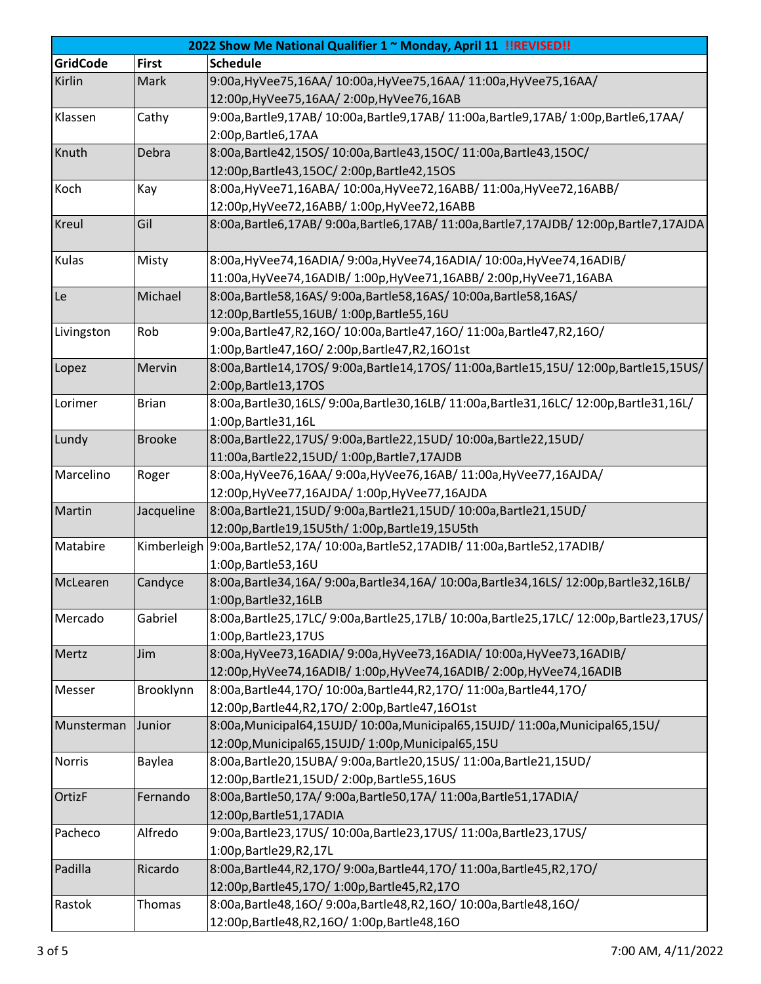| 2022 Show Me National Qualifier 1 ~ Monday, April 11 !!REVISED!! |               |                                                                                    |  |  |
|------------------------------------------------------------------|---------------|------------------------------------------------------------------------------------|--|--|
| <b>GridCode</b>                                                  | <b>First</b>  | <b>Schedule</b>                                                                    |  |  |
| Kirlin                                                           | Mark          | 9:00a, HyVee75, 16AA/ 10:00a, HyVee75, 16AA/ 11:00a, HyVee75, 16AA/                |  |  |
|                                                                  |               | 12:00p, HyVee 75, 16AA/ 2:00p, HyVee 76, 16AB                                      |  |  |
| Klassen                                                          | Cathy         | 9:00a,Bartle9,17AB/10:00a,Bartle9,17AB/11:00a,Bartle9,17AB/1:00p,Bartle6,17AA/     |  |  |
|                                                                  |               | 2:00p, Bartle6, 17AA                                                               |  |  |
| Knuth                                                            | Debra         | 8:00a, Bartle42, 15OS/10:00a, Bartle43, 15OC/11:00a, Bartle43, 15OC/               |  |  |
|                                                                  |               | 12:00p, Bartle 43, 15OC/2:00p, Bartle 42, 15OS                                     |  |  |
| Koch                                                             | Kay           | 8:00a, HyVee71, 16ABA/ 10:00a, HyVee72, 16ABB/ 11:00a, HyVee72, 16ABB/             |  |  |
|                                                                  |               | 12:00p, HyVee 72, 16ABB/ 1:00p, HyVee 72, 16ABB                                    |  |  |
| <b>Kreul</b>                                                     | Gil           | 8:00a,Bartle6,17AB/9:00a,Bartle6,17AB/11:00a,Bartle7,17AJDB/12:00p,Bartle7,17AJDA  |  |  |
| Kulas                                                            | Misty         | 8:00a, HyVee74, 16ADIA/ 9:00a, HyVee74, 16ADIA/ 10:00a, HyVee74, 16ADIB/           |  |  |
|                                                                  |               | 11:00a, HyVee 74, 16ADIB/ 1:00p, HyVee 71, 16ABB/ 2:00p, HyVee 71, 16ABA           |  |  |
| Le                                                               | Michael       | 8:00a, Bartle58, 16AS/ 9:00a, Bartle58, 16AS/ 10:00a, Bartle58, 16AS/              |  |  |
|                                                                  |               | 12:00p,Bartle55,16UB/1:00p,Bartle55,16U                                            |  |  |
| Livingston                                                       | Rob           | 9:00a, Bartle47, R2, 16O/ 10:00a, Bartle47, 16O/ 11:00a, Bartle47, R2, 16O/        |  |  |
|                                                                  |               | 1:00p,Bartle47,16O/2:00p,Bartle47,R2,16O1st                                        |  |  |
| Lopez                                                            | Mervin        | 8:00a,Bartle14,17OS/9:00a,Bartle14,17OS/11:00a,Bartle15,15U/12:00p,Bartle15,15US/  |  |  |
|                                                                  |               | 2:00p, Bartle 13, 170S                                                             |  |  |
| Lorimer                                                          | <b>Brian</b>  | 8:00a,Bartle30,16LS/9:00a,Bartle30,16LB/11:00a,Bartle31,16LC/12:00p,Bartle31,16L/  |  |  |
|                                                                  |               | 1:00p, Bartle 31, 16L                                                              |  |  |
| Lundy                                                            | <b>Brooke</b> | 8:00a, Bartle22, 17US/ 9:00a, Bartle22, 15UD/ 10:00a, Bartle22, 15UD/              |  |  |
|                                                                  |               | 11:00a, Bartle22, 15UD/1:00p, Bartle7, 17AJDB                                      |  |  |
| Marcelino                                                        | Roger         | 8:00a, HyVee76, 16AA/ 9:00a, HyVee76, 16AB/ 11:00a, HyVee77, 16AJDA/               |  |  |
|                                                                  |               | 12:00p, HyVee 77, 16AJDA / 1:00p, HyVee 77, 16AJDA                                 |  |  |
| Martin                                                           | Jacqueline    | 8:00a, Bartle21, 15UD/ 9:00a, Bartle21, 15UD/ 10:00a, Bartle21, 15UD/              |  |  |
|                                                                  |               | 12:00p,Bartle19,15U5th/ 1:00p,Bartle19,15U5th                                      |  |  |
| Matabire                                                         |               | Kimberleigh 9:00a, Bartle52,17A/ 10:00a, Bartle52,17ADIB/ 11:00a, Bartle52,17ADIB/ |  |  |
|                                                                  |               | 1:00p, Bartle 53, 16U                                                              |  |  |
| McLearen                                                         | Candyce       | 8:00a,Bartle34,16A/9:00a,Bartle34,16A/10:00a,Bartle34,16LS/12:00p,Bartle32,16LB/   |  |  |
|                                                                  |               | 1:00p, Bartle 32, 16LB                                                             |  |  |
| Mercado                                                          | Gabriel       | 8:00a,Bartle25,17LC/9:00a,Bartle25,17LB/10:00a,Bartle25,17LC/12:00p,Bartle23,17US/ |  |  |
|                                                                  |               | 1:00p, Bartle 23, 17US                                                             |  |  |
| Mertz                                                            | Jim           | 8:00a, HyVee73, 16ADIA/ 9:00a, HyVee73, 16ADIA/ 10:00a, HyVee73, 16ADIB/           |  |  |
|                                                                  |               | 12:00p, HyVee 74, 16ADIB/ 1:00p, HyVee 74, 16ADIB/ 2:00p, HyVee 74, 16ADIB         |  |  |
| Messer                                                           | Brooklynn     | 8:00a, Bartle44, 170/10:00a, Bartle44, R2, 170/11:00a, Bartle44, 170/              |  |  |
|                                                                  |               | 12:00p,Bartle44,R2,17O/2:00p,Bartle47,16O1st                                       |  |  |
| Munsterman                                                       | Junior        | 8:00a, Municipal64, 15UJD/10:00a, Municipal65, 15UJD/11:00a, Municipal65, 15U/     |  |  |
|                                                                  |               | 12:00p, Municipal65, 15UJD/1:00p, Municipal65, 15U                                 |  |  |
| Norris                                                           | Baylea        | 8:00a, Bartle20, 15UBA/ 9:00a, Bartle20, 15US/ 11:00a, Bartle21, 15UD/             |  |  |
|                                                                  |               | 12:00p,Bartle21,15UD/2:00p,Bartle55,16US                                           |  |  |
| <b>OrtizF</b>                                                    | Fernando      | 8:00a, Bartle50, 17A/ 9:00a, Bartle50, 17A/ 11:00a, Bartle51, 17ADIA/              |  |  |
|                                                                  |               | 12:00p, Bartle 51, 17ADIA                                                          |  |  |
| Pacheco                                                          | Alfredo       | 9:00a, Bartle23, 17US/ 10:00a, Bartle23, 17US/ 11:00a, Bartle23, 17US/             |  |  |
|                                                                  |               | 1:00p, Bartle 29, R2, 17L                                                          |  |  |
| Padilla                                                          | Ricardo       | 8:00a, Bartle44, R2, 170/ 9:00a, Bartle44, 170/ 11:00a, Bartle45, R2, 170/         |  |  |
|                                                                  |               | 12:00p, Bartle 45, 170 / 1:00p, Bartle 45, R2, 170                                 |  |  |
| Rastok                                                           | Thomas        | 8:00a, Bartle48, 16O/ 9:00a, Bartle48, R2, 16O/ 10:00a, Bartle48, 16O/             |  |  |
|                                                                  |               | 12:00p, Bartle 48, R2, 16O/ 1:00p, Bartle 48, 16O                                  |  |  |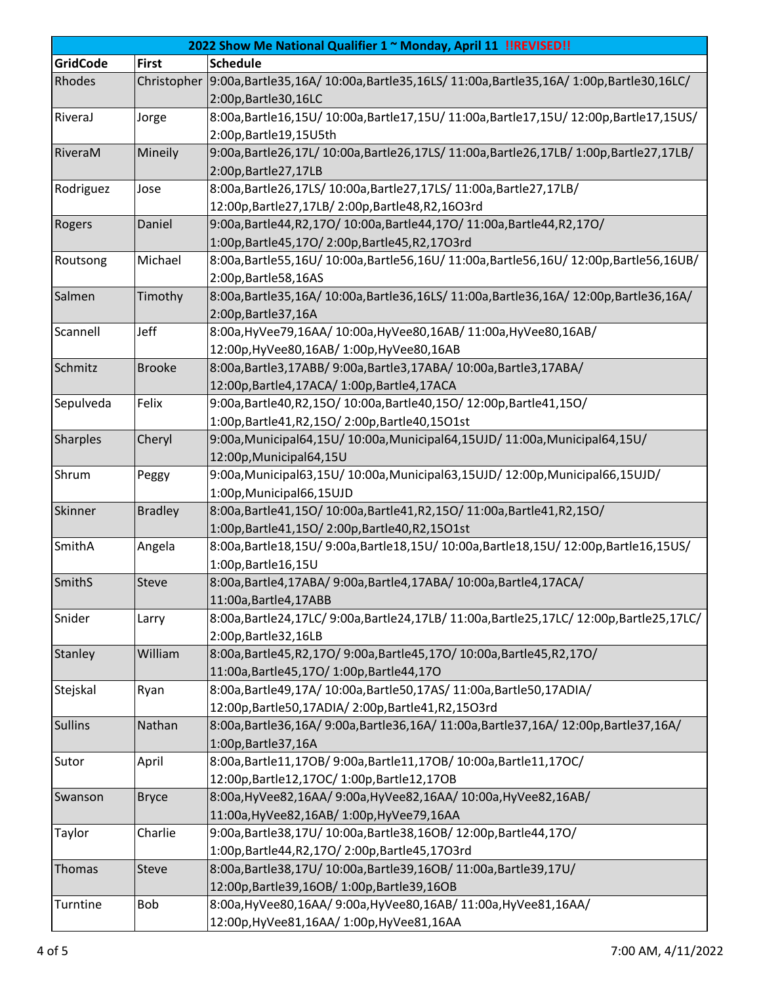| 2022 Show Me National Qualifier 1 ~ Monday, April 11 !! REVISED!! |                |                                                                                                         |  |  |
|-------------------------------------------------------------------|----------------|---------------------------------------------------------------------------------------------------------|--|--|
| <b>GridCode</b>                                                   | <b>First</b>   | <b>Schedule</b>                                                                                         |  |  |
| Rhodes                                                            |                | Christopher 9:00a, Bartle35, 16A/ 10:00a, Bartle35, 16LS/ 11:00a, Bartle35, 16A/ 1:00p, Bartle30, 16LC/ |  |  |
|                                                                   |                | 2:00p, Bartle 30, 16LC                                                                                  |  |  |
| RiveraJ                                                           | Jorge          | 8:00a,Bartle16,15U/10:00a,Bartle17,15U/11:00a,Bartle17,15U/12:00p,Bartle17,15US/                        |  |  |
|                                                                   |                | 2:00p, Bartle 19, 15 U5th                                                                               |  |  |
| RiveraM                                                           | Mineily        | 9:00a,Bartle26,17L/ 10:00a,Bartle26,17LS/ 11:00a,Bartle26,17LB/ 1:00p,Bartle27,17LB/                    |  |  |
|                                                                   |                | 2:00p, Bartle 27, 17LB                                                                                  |  |  |
| Rodriguez                                                         | Jose           | 8:00a, Bartle26, 17LS/ 10:00a, Bartle27, 17LS/ 11:00a, Bartle27, 17LB/                                  |  |  |
|                                                                   |                | 12:00p,Bartle27,17LB/2:00p,Bartle48,R2,16O3rd                                                           |  |  |
| Rogers                                                            | Daniel         | 9:00a, Bartle44, R2, 170/10:00a, Bartle44, 170/11:00a, Bartle44, R2, 170/                               |  |  |
|                                                                   |                | 1:00p,Bartle45,17O/2:00p,Bartle45,R2,17O3rd                                                             |  |  |
| Routsong                                                          | Michael        | 8:00a,Bartle55,16U/10:00a,Bartle56,16U/11:00a,Bartle56,16U/12:00p,Bartle56,16UB/                        |  |  |
|                                                                   |                | 2:00p, Bartle 58, 16AS                                                                                  |  |  |
| Salmen                                                            | Timothy        | 8:00a,Bartle35,16A/10:00a,Bartle36,16LS/11:00a,Bartle36,16A/12:00p,Bartle36,16A/                        |  |  |
|                                                                   |                | 2:00p, Bartle 37, 16A                                                                                   |  |  |
| Scannell                                                          | Jeff           | 8:00a, HyVee79, 16AA/ 10:00a, HyVee80, 16AB/ 11:00a, HyVee80, 16AB/                                     |  |  |
|                                                                   |                | 12:00p, HyVee80, 16AB/ 1:00p, HyVee80, 16AB                                                             |  |  |
| Schmitz                                                           | <b>Brooke</b>  | 8:00a, Bartle3, 17ABB/ 9:00a, Bartle3, 17ABA/ 10:00a, Bartle3, 17ABA/                                   |  |  |
|                                                                   |                | 12:00p,Bartle4,17ACA/ 1:00p,Bartle4,17ACA                                                               |  |  |
| Sepulveda                                                         | Felix          | 9:00a, Bartle40, R2, 150/10:00a, Bartle40, 150/12:00p, Bartle41, 150/                                   |  |  |
|                                                                   |                | 1:00p,Bartle41,R2,15O/2:00p,Bartle40,15O1st                                                             |  |  |
| <b>Sharples</b>                                                   | Cheryl         | 9:00a, Municipal64, 15U / 10:00a, Municipal64, 15UJD / 11:00a, Municipal64, 15U /                       |  |  |
|                                                                   |                | 12:00p, Municipal64, 15U                                                                                |  |  |
| Shrum                                                             | Peggy          | 9:00a, Municipal63, 15U/10:00a, Municipal63, 15UJD/12:00p, Municipal66, 15UJD/                          |  |  |
|                                                                   |                | 1:00p, Municipal66, 15UJD                                                                               |  |  |
| Skinner                                                           | <b>Bradley</b> | 8:00a, Bartle41, 150/10:00a, Bartle41, R2, 150/11:00a, Bartle41, R2, 150/                               |  |  |
|                                                                   |                | 1:00p,Bartle41,15O/2:00p,Bartle40,R2,15O1st                                                             |  |  |
| SmithA                                                            | Angela         | 8:00a,Bartle18,15U/9:00a,Bartle18,15U/10:00a,Bartle18,15U/12:00p,Bartle16,15US/                         |  |  |
|                                                                   |                | 1:00p, Bartle 16, 15U                                                                                   |  |  |
| <b>SmithS</b>                                                     | Steve          | 8:00a, Bartle4, 17ABA/ 9:00a, Bartle4, 17ABA/ 10:00a, Bartle4, 17ACA/                                   |  |  |
|                                                                   |                | 11:00a, Bartle4, 17ABB                                                                                  |  |  |
| Snider                                                            | Larry          | 8:00a,Bartle24,17LC/9:00a,Bartle24,17LB/11:00a,Bartle25,17LC/12:00p,Bartle25,17LC/                      |  |  |
|                                                                   |                | 2:00p, Bartle 32, 16LB                                                                                  |  |  |
| <b>Stanley</b>                                                    | William        | 8:00a, Bartle45, R2, 170/ 9:00a, Bartle45, 170/ 10:00a, Bartle45, R2, 170/                              |  |  |
|                                                                   |                | 11:00a, Bartle 45, 170 / 1:00p, Bartle 44, 170                                                          |  |  |
| Stejskal                                                          | Ryan           | 8:00a, Bartle49, 17A/ 10:00a, Bartle50, 17AS/ 11:00a, Bartle50, 17ADIA/                                 |  |  |
|                                                                   |                | 12:00p,Bartle50,17ADIA/2:00p,Bartle41,R2,15O3rd                                                         |  |  |
| <b>Sullins</b>                                                    | Nathan         | 8:00a,Bartle36,16A/9:00a,Bartle36,16A/11:00a,Bartle37,16A/12:00p,Bartle37,16A/                          |  |  |
|                                                                   |                | 1:00p, Bartle 37, 16A                                                                                   |  |  |
| Sutor                                                             | April          | 8:00a, Bartle11, 170B/ 9:00a, Bartle11, 170B/ 10:00a, Bartle11, 170C/                                   |  |  |
|                                                                   |                | 12:00p, Bartle12, 17OC/ 1:00p, Bartle12, 17OB                                                           |  |  |
| Swanson                                                           | <b>Bryce</b>   | 8:00a, HyVee82, 16AA/ 9:00a, HyVee82, 16AA/ 10:00a, HyVee82, 16AB/                                      |  |  |
|                                                                   |                | 11:00a, Hy Vee 82, 16AB / 1:00p, Hy Vee 79, 16AA                                                        |  |  |
| Taylor                                                            | Charlie        | 9:00a, Bartle38, 17U/ 10:00a, Bartle38, 16OB/ 12:00p, Bartle44, 17O/                                    |  |  |
|                                                                   |                | 1:00p,Bartle44,R2,17O/2:00p,Bartle45,17O3rd                                                             |  |  |
| Thomas                                                            | Steve          | 8:00a, Bartle38, 17U/ 10:00a, Bartle39, 16OB/ 11:00a, Bartle39, 17U/                                    |  |  |
|                                                                   |                | 12:00p, Bartle 39, 160B/1:00p, Bartle 39, 160B                                                          |  |  |
| Turntine                                                          | <b>Bob</b>     | 8:00a, HyVee80, 16AA/ 9:00a, HyVee80, 16AB/ 11:00a, HyVee81, 16AA/                                      |  |  |
|                                                                   |                | 12:00p, HyVee81, 16AA/ 1:00p, HyVee81, 16AA                                                             |  |  |